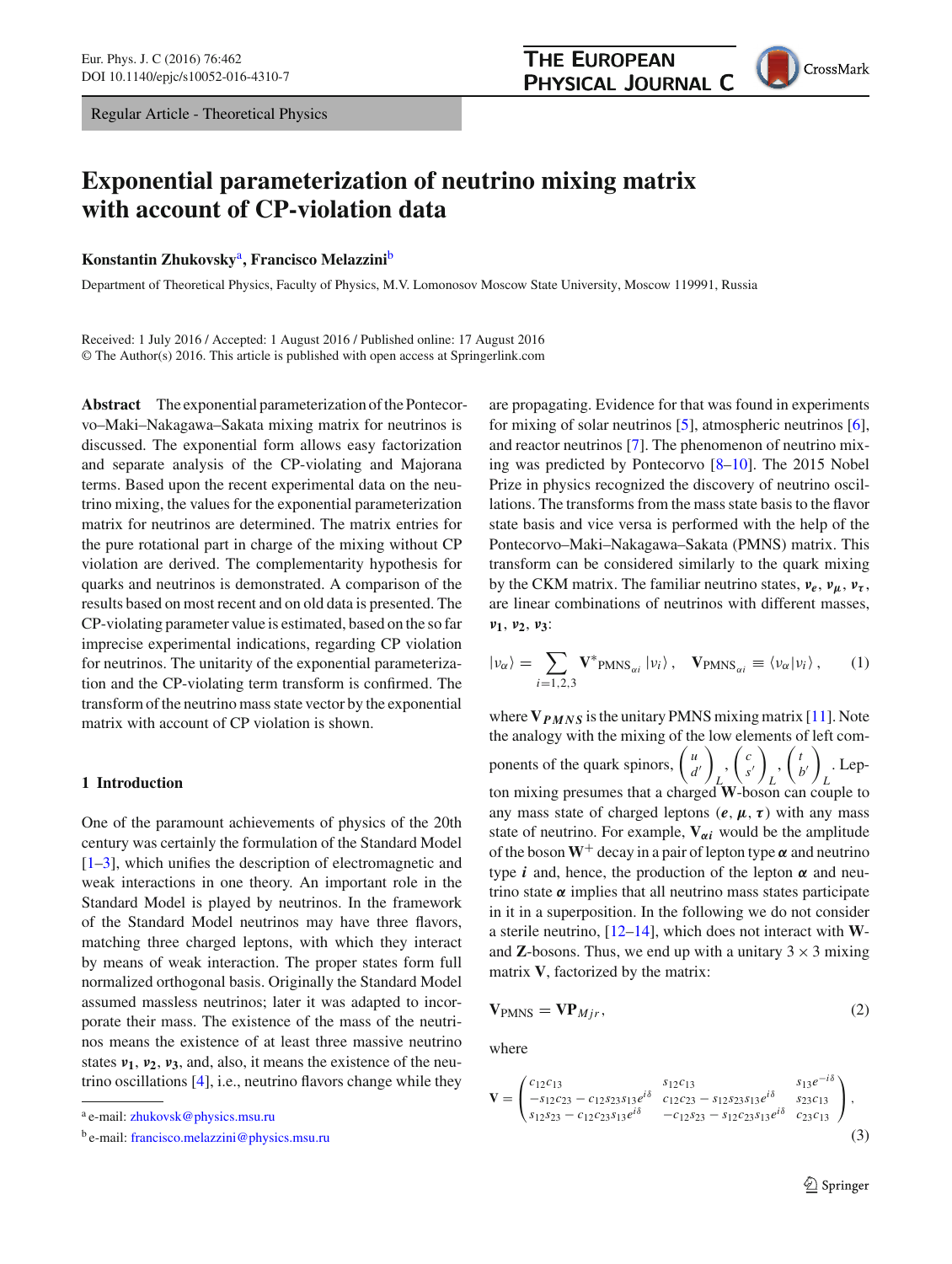## **THE EUROPEAN PHYSICAL JOURNAL C**



# **Exponential parameterization of neutrino mixing matrix with account of CP-violation data**

**Konstantin Zhukovsky**a**, Francisco Melazzini**<sup>b</sup>

Department of Theoretical Physics, Faculty of Physics, M.V. Lomonosov Moscow State University, Moscow 119991, Russia

Received: 1 July 2016 / Accepted: 1 August 2016 / Published online: 17 August 2016 © The Author(s) 2016. This article is published with open access at Springerlink.com

**Abstract** The exponential parameterization of the Pontecorvo–Maki–Nakagawa–Sakata mixing matrix for neutrinos is discussed. The exponential form allows easy factorization and separate analysis of the CP-violating and Majorana terms. Based upon the recent experimental data on the neutrino mixing, the values for the exponential parameterization matrix for neutrinos are determined. The matrix entries for the pure rotational part in charge of the mixing without CP violation are derived. The complementarity hypothesis for quarks and neutrinos is demonstrated. A comparison of the results based on most recent and on old data is presented. The CP-violating parameter value is estimated, based on the so far imprecise experimental indications, regarding CP violation for neutrinos. The unitarity of the exponential parameterization and the CP-violating term transform is confirmed. The transform of the neutrino mass state vector by the exponential matrix with account of CP violation is shown.

#### **1 Introduction**

One of the paramount achievements of physics of the 20th century was certainly the formulation of the Standard Model [\[1](#page-4-0)[–3](#page-4-1)], which unifies the description of electromagnetic and weak interactions in one theory. An important role in the Standard Model is played by neutrinos. In the framework of the Standard Model neutrinos may have three flavors, matching three charged leptons, with which they interact by means of weak interaction. The proper states form full normalized orthogonal basis. Originally the Standard Model assumed massless neutrinos; later it was adapted to incorporate their mass. The existence of the mass of the neutrinos means the existence of at least three massive neutrino states *ν***1**, *ν***2**, *ν***3**, and, also, it means the existence of the neutrino oscillations [\[4](#page-4-2)], i.e., neutrino flavors change while they are propagating. Evidence for that was found in experiments for mixing of solar neutrinos [\[5](#page-4-3)], atmospheric neutrinos [\[6](#page-4-4)], and reactor neutrinos [\[7](#page-4-5)]. The phenomenon of neutrino mixing was predicted by Pontecorvo [\[8](#page-4-6)[–10\]](#page-4-7). The 2015 Nobel Prize in physics recognized the discovery of neutrino oscillations. The transforms from the mass state basis to the flavor state basis and vice versa is performed with the help of the Pontecorvo–Maki–Nakagawa–Sakata (PMNS) matrix. This transform can be considered similarly to the quark mixing by the CKM matrix. The familiar neutrino states, *νe*, *νμ*, *ντ* , are linear combinations of neutrinos with different masses, *ν***1**, *ν***2**, *ν***3**:

$$
|\nu_{\alpha}\rangle = \sum_{i=1,2,3} \mathbf{V}^*_{\text{PMNS}_{\alpha i}} |\nu_i\rangle, \quad \mathbf{V}_{\text{PMNS}_{\alpha i}} \equiv \langle \nu_{\alpha} |\nu_i\rangle, \qquad (1)
$$

where **V***PMNS* is the unitary PMNS mixing matrix [\[11\]](#page-4-8). Note the analogy with the mixing of the low elements of left components of the quark spinors,  $\begin{pmatrix} u \\ d \end{pmatrix}$ *d*  $\setminus$ *L* , *c s*  $\setminus$ *L*  $\int$ *b*  $\setminus$ *L* . Lepton mixing presumes that a charged **W**-boson can couple to any mass state of charged leptons  $(e, \mu, \tau)$  with any mass state of neutrino. For example,  $V_{\alpha i}$  would be the amplitude of the boson  $W^+$  decay in a pair of lepton type  $\alpha$  and neutrino type *i* and, hence, the production of the lepton  $\alpha$  and neutrino state  $\alpha$  implies that all neutrino mass states participate in it in a superposition. In the following we do not consider a sterile neutrino, [\[12](#page-5-0)[–14\]](#page-5-1), which does not interact with **W**and **Z**-bosons. Thus, we end up with a unitary  $3 \times 3$  mixing matrix **V**, factorized by the matrix:

<span id="page-0-1"></span>
$$
\mathbf{V}_{PMNS} = \mathbf{V} \mathbf{P}_{Mjr},\tag{2}
$$

where

<span id="page-0-0"></span>
$$
\mathbf{V} = \begin{pmatrix} c_{12}c_{13} & s_{12}c_{13} & s_{13}e^{-i\delta} \\ -s_{12}c_{23} - c_{12}s_{23}s_{13}e^{i\delta} & c_{12}c_{23} - s_{12}s_{23}s_{13}e^{i\delta} & s_{23}c_{13} \\ s_{12}s_{23} - c_{12}c_{23}s_{13}e^{i\delta} & -c_{12}s_{23} - s_{12}c_{23}s_{13}e^{i\delta} & c_{23}c_{13} \end{pmatrix},
$$
\n(3)

<sup>a</sup> e-mail: [zhukovsk@physics.msu.ru](mailto:zhukovsk@physics.msu.ru)

<sup>b</sup> e-mail: [francisco.melazzini@physics.msu.ru](mailto:francisco.melazzini@physics.msu.ru)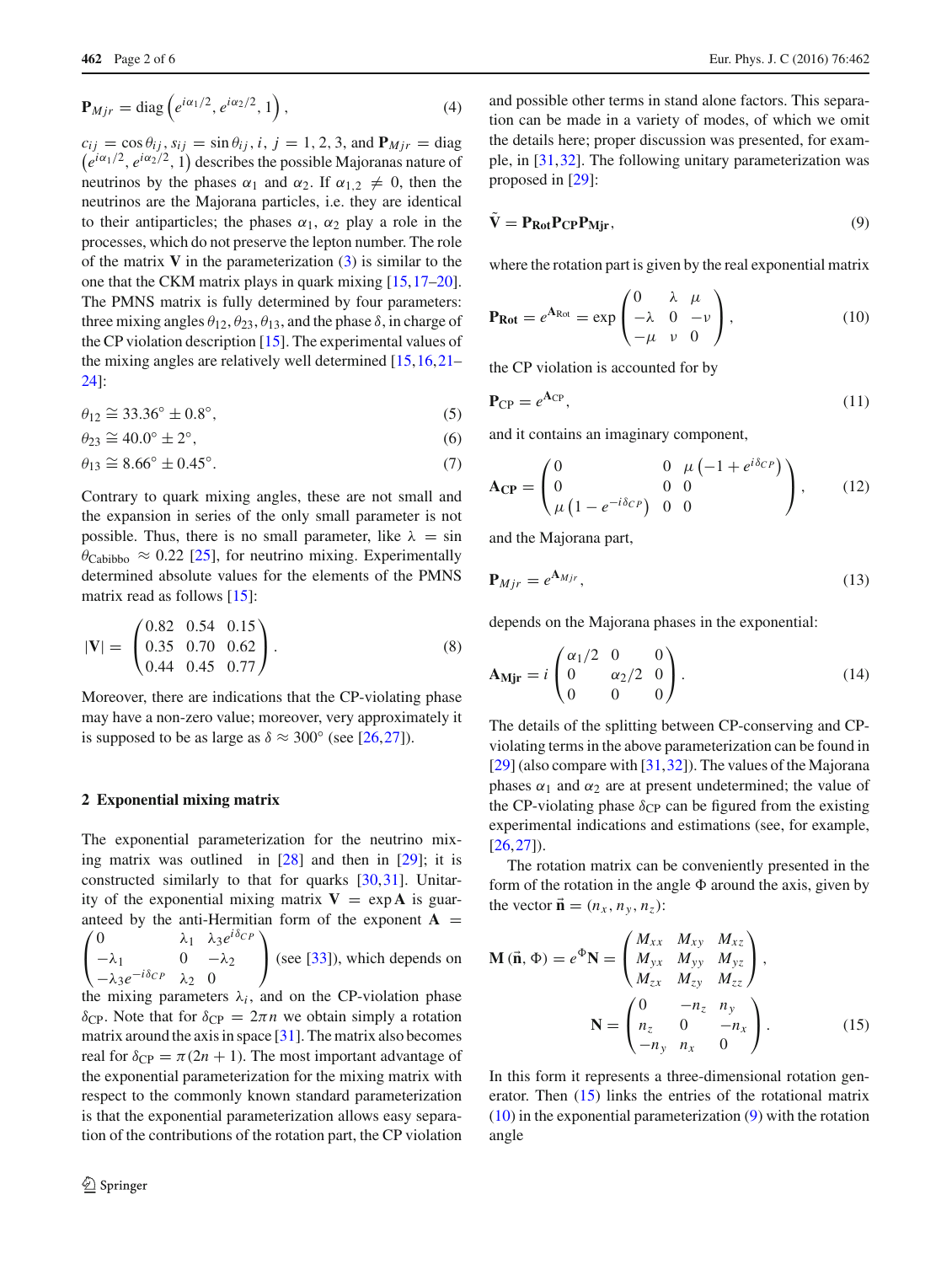$$
\mathbf{P}_{Mjr} = \text{diag}\left(e^{i\alpha_1/2}, e^{i\alpha_2/2}, 1\right),\tag{4}
$$

 $c_{ij} = \cos \theta_{ij}$ ,  $s_{ij} = \sin \theta_{ij}$ , *i*, *j* = 1, 2, 3, and  $P_{Mjr} = \text{diag}$  $(e^{i\alpha_1/2}, e^{i\alpha_2/2}, 1)$  describes the possible Majoranas nature of neutrinos by the phases  $\alpha_1$  and  $\alpha_2$ . If  $\alpha_{1,2} \neq 0$ , then the neutrinos are the Majorana particles, i.e. they are identical to their antiparticles; the phases  $\alpha_1$ ,  $\alpha_2$  play a role in the processes, which do not preserve the lepton number. The role of the matrix  $V$  in the parameterization  $(3)$  is similar to the one that the CKM matrix plays in quark mixing [\[15](#page-5-2)[,17](#page-5-3)[–20](#page-5-4)]. The PMNS matrix is fully determined by four parameters: three mixing angles  $\theta_{12}, \theta_{23}, \theta_{13}$ , and the phase  $\delta$ , in charge of the CP violation description [\[15](#page-5-2)]. The experimental values of the mixing angles are relatively well determined [\[15,](#page-5-2)[16](#page-5-5)[,21](#page-5-6)– [24\]](#page-5-7):

$$
\theta_{12} \cong 33.36^{\circ} \pm 0.8^{\circ},\tag{5}
$$

$$
\theta_{23} \cong 40.0^\circ \pm 2^\circ,\tag{6}
$$

$$
\theta_{13} \cong 8.66^\circ \pm 0.45^\circ. \tag{7}
$$

Contrary to quark mixing angles, these are not small and the expansion in series of the only small parameter is not possible. Thus, there is no small parameter, like  $\lambda = \sin$  $\theta_{\text{Cabibbo}} \approx 0.22$  [\[25\]](#page-5-8), for neutrino mixing. Experimentally determined absolute values for the elements of the PMNS matrix read as follows [\[15](#page-5-2)]:

$$
|\mathbf{V}| = \begin{pmatrix} 0.82 & 0.54 & 0.15 \\ 0.35 & 0.70 & 0.62 \\ 0.44 & 0.45 & 0.77 \end{pmatrix}.
$$
 (8)

Moreover, there are indications that the CP-violating phase may have a non-zero value; moreover, very approximately it is supposed to be as large as  $\delta \approx 300^{\circ}$  (see [\[26](#page-5-9),[27](#page-5-10)]).

#### **2 Exponential mixing matrix**

The exponential parameterization for the neutrino mixing matrix was outlined in [\[28\]](#page-5-11) and then in [\[29\]](#page-5-12); it is constructed similarly to that for quarks [\[30,](#page-5-13)[31\]](#page-5-14). Unitarity of the exponential mixing matrix  $V = \exp A$  is guaranteed by the anti-Hermitian form of the exponent  $A =$ anteed by the anti-Hermitian form of the exponent **A** =  $\left(0\right)$  $\begin{pmatrix} -\lambda_1 & 0 & -\lambda_2 \\ \lambda_1 & -i\delta_{CD} & \lambda_2 \end{pmatrix}$ <sup>−</sup>λ3*e*−*i*δ*C P* <sup>λ</sup><sup>2</sup> <sup>0</sup> <sup>⎠</sup> (see [\[33\]](#page-5-15)), which depends on

the mixing parameters  $\lambda_i$ , and on the CP-violation phase δ<sub>CP</sub>. Note that for  $δ<sub>CP</sub> = 2πn$  we obtain simply a rotation matrix around the axis in space [\[31\]](#page-5-14). The matrix also becomes real for  $\delta_{CP} = \pi(2n + 1)$ . The most important advantage of the exponential parameterization for the mixing matrix with respect to the commonly known standard parameterization is that the exponential parameterization allows easy separation of the contributions of the rotation part, the CP violation

and possible other terms in stand alone factors. This separation can be made in a variety of modes, of which we omit the details here; proper discussion was presented, for example, in [\[31](#page-5-14),[32](#page-5-16)]. The following unitary parameterization was proposed in [\[29\]](#page-5-12):

<span id="page-1-2"></span>
$$
\mathbf{V} = \mathbf{P}_{\text{Rot}} \mathbf{P}_{\text{CP}} \mathbf{P}_{\text{Mjr}},\tag{9}
$$

where the rotation part is given by the real exponential matrix

<span id="page-1-1"></span>
$$
\mathbf{P}_{\mathbf{Rot}} = e^{\mathbf{A}_{\text{Rot}}} = \exp\begin{pmatrix} 0 & \lambda & \mu \\ -\lambda & 0 & -\nu \\ -\mu & \nu & 0 \end{pmatrix},\tag{10}
$$

the CP violation is accounted for by

$$
\mathbf{P}_{\rm CP} = e^{\mathbf{A}_{\rm CP}},\tag{11}
$$

and it contains an imaginary component,

$$
\mathbf{A_{CP}} = \begin{pmatrix} 0 & 0 & \mu \left( -1 + e^{i\delta_{CP}} \right) \\ 0 & 0 & 0 \\ \mu \left( 1 - e^{-i\delta_{CP}} \right) & 0 & 0 \end{pmatrix}, \quad (12)
$$

and the Majorana part,

$$
\mathbf{P}_{Mjr} = e^{\mathbf{A}_{Mjr}},\tag{13}
$$

depends on the Majorana phases in the exponential:

$$
\mathbf{A}_{\mathbf{Mjr}} = i \begin{pmatrix} \alpha_1/2 & 0 & 0 \\ 0 & \alpha_2/2 & 0 \\ 0 & 0 & 0 \end{pmatrix} . \tag{14}
$$

The details of the splitting between CP-conserving and CPviolating terms in the above parameterization can be found in [\[29](#page-5-12)] (also compare with [\[31](#page-5-14)[,32](#page-5-16)]). The values of the Majorana phases  $\alpha_1$  and  $\alpha_2$  are at present undetermined; the value of the CP-violating phase  $\delta_{\text{CP}}$  can be figured from the existing experimental indications and estimations (see, for example,  $[26, 27]$  $[26, 27]$  $[26, 27]$ ).

The rotation matrix can be conveniently presented in the form of the rotation in the angle  $\Phi$  around the axis, given by the vector  $\vec{\mathbf{n}} = (n_x, n_y, n_z)$ :

<span id="page-1-0"></span>
$$
\mathbf{M}(\vec{\mathbf{n}}, \Phi) = e^{\Phi} \mathbf{N} = \begin{pmatrix} M_{xx} & M_{xy} & M_{xz} \\ M_{yx} & M_{yy} & M_{yz} \\ M_{zx} & M_{zy} & M_{zz} \end{pmatrix},
$$

$$
\mathbf{N} = \begin{pmatrix} 0 & -n_z & n_y \\ n_z & 0 & -n_x \\ -n_y & n_x & 0 \end{pmatrix}.
$$
(15)

<span id="page-1-3"></span>In this form it represents a three-dimensional rotation generator. Then [\(15\)](#page-1-0) links the entries of the rotational matrix [\(10\)](#page-1-1) in the exponential parameterization [\(9\)](#page-1-2) with the rotation angle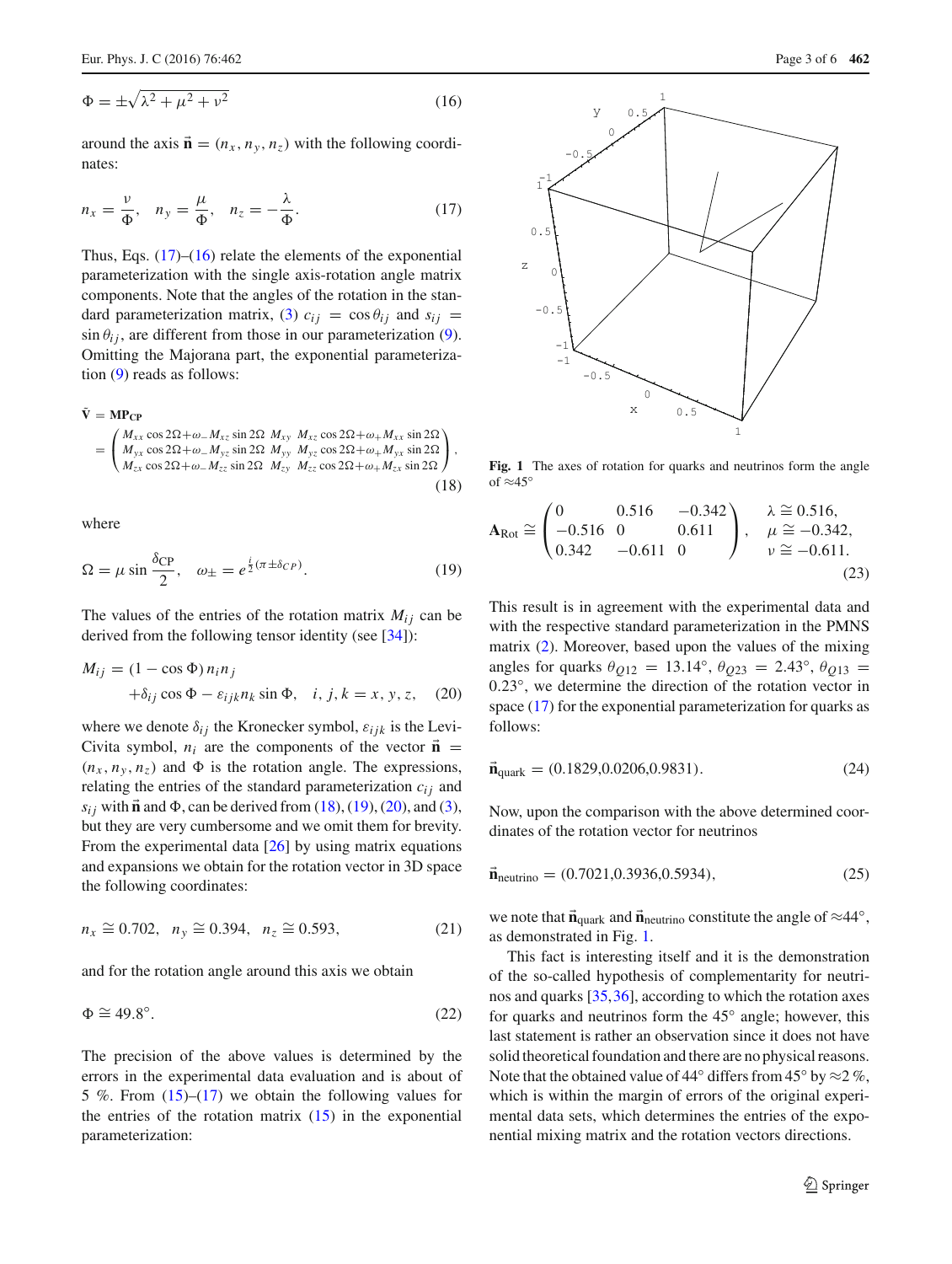$$
\Phi = \pm \sqrt{\lambda^2 + \mu^2 + \nu^2} \tag{16}
$$

<span id="page-2-0"></span>around the axis  $\vec{\mathbf{n}} = (n_x, n_y, n_z)$  with the following coordinates:

$$
n_x = \frac{\nu}{\Phi}, \quad n_y = \frac{\mu}{\Phi}, \quad n_z = -\frac{\lambda}{\Phi}.\tag{17}
$$

Thus, Eqs.  $(17)$ – $(16)$  relate the elements of the exponential parameterization with the single axis-rotation angle matrix components. Note that the angles of the rotation in the stan-dard parameterization matrix, [\(3\)](#page-0-0)  $c_{ij} = \cos \theta_{ij}$  and  $s_{ij} =$  $\sin \theta_{ij}$ , are different from those in our parameterization [\(9\)](#page-1-2). Omitting the Majorana part, the exponential parameterization [\(9\)](#page-1-2) reads as follows:

<span id="page-2-1"></span>
$$
\tilde{\mathbf{V}} = \mathbf{M} \mathbf{P}_{\mathbf{CP}}
$$
\n
$$
= \begin{pmatrix}\nM_{xx} \cos 2\Omega + \omega_{-} M_{xz} \sin 2\Omega & M_{xy} & M_{xz} \cos 2\Omega + \omega_{+} M_{xx} \sin 2\Omega \\
M_{yx} \cos 2\Omega + \omega_{-} M_{yz} \sin 2\Omega & M_{yy} & M_{yz} \cos 2\Omega + \omega_{+} M_{yx} \sin 2\Omega \\
M_{zx} \cos 2\Omega + \omega_{-} M_{zz} \sin 2\Omega & M_{zy} & M_{zz} \cos 2\Omega + \omega_{+} M_{zx} \sin 2\Omega\n\end{pmatrix},
$$
\n(18)

<span id="page-2-2"></span>where

$$
\Omega = \mu \sin \frac{\delta_{\rm CP}}{2}, \quad \omega_{\pm} = e^{\frac{i}{2}(\pi \pm \delta_{CP})}.
$$
 (19)

The values of the entries of the rotation matrix  $M_{ij}$  can be derived from the following tensor identity (see [\[34](#page-5-17)]):

<span id="page-2-3"></span>
$$
M_{ij} = (1 - \cos \Phi) n_i n_j
$$
  
+  $\delta_{ij} \cos \Phi - \varepsilon_{ijk} n_k \sin \Phi$ , *i*, *j*, *k* = *x*, *y*, *z*, (20)

where we denote  $\delta_{ij}$  the Kronecker symbol,  $\varepsilon_{ijk}$  is the Levi-Civita symbol,  $n_i$  are the components of the vector  $\vec{\bf{n}}$  =  $(n_x, n_y, n_z)$  and  $\Phi$  is the rotation angle. The expressions, relating the entries of the standard parameterization  $c_{ij}$  and  $s_{ij}$  with  $\vec{\bf{n}}$  and  $\Phi$ , can be derived from [\(18\)](#page-2-1), [\(19\)](#page-2-2), [\(20\)](#page-2-3), and [\(3\)](#page-0-0), but they are very cumbersome and we omit them for brevity. From the experimental data [\[26](#page-5-9)] by using matrix equations and expansions we obtain for the rotation vector in 3D space the following coordinates:

$$
n_x \cong 0.702, \ \ n_y \cong 0.394, \ \ n_z \cong 0.593,\tag{21}
$$

and for the rotation angle around this axis we obtain

$$
\Phi \cong 49.8^{\circ}.\tag{22}
$$

The precision of the above values is determined by the errors in the experimental data evaluation and is about of 5 %. From  $(15)$ – $(17)$  we obtain the following values for the entries of the rotation matrix  $(15)$  in the exponential parameterization:



<span id="page-2-4"></span>**Fig. 1** The axes of rotation for quarks and neutrinos form the angle of  $\approx 45^\circ$ 

<span id="page-2-5"></span>
$$
\mathbf{A}_{\text{Rot}} \cong \begin{pmatrix} 0 & 0.516 & -0.342 \\ -0.516 & 0 & 0.611 \\ 0.342 & -0.611 & 0 \end{pmatrix}, \quad \begin{array}{l} \lambda \cong 0.516, \\ \mu \cong -0.342, \\ \nu \cong -0.611. \end{array}
$$
\n(23)

This result is in agreement with the experimental data and with the respective standard parameterization in the PMNS matrix [\(2\)](#page-0-1). Moreover, based upon the values of the mixing angles for quarks  $\theta_{Q12} = 13.14^{\circ}, \theta_{Q23} = 2.43^{\circ}, \theta_{Q13} =$ 0.23◦, we determine the direction of the rotation vector in space [\(17\)](#page-2-0) for the exponential parameterization for quarks as follows:

$$
\vec{n}_{\text{quark}} = (0.1829, 0.0206, 0.9831). \tag{24}
$$

Now, upon the comparison with the above determined coordinates of the rotation vector for neutrinos

$$
\vec{\mathbf{n}}_{\text{neutrino}} = (0.7021, 0.3936, 0.5934),\tag{25}
$$

we note that  $\vec{n}_{quark}$  and  $\vec{n}_{neutrino}$  constitute the angle of  $\approx 44°$ , as demonstrated in Fig. [1.](#page-2-4)

This fact is interesting itself and it is the demonstration of the so-called hypothesis of complementarity for neutrinos and quarks [\[35,](#page-5-18)[36\]](#page-5-19), according to which the rotation axes for quarks and neutrinos form the 45◦ angle; however, this last statement is rather an observation since it does not have solid theoretical foundation and there are no physical reasons. Note that the obtained value of 44 $\degree$  differs from 45 $\degree$  by  $\approx$  2 $\%$ , which is within the margin of errors of the original experimental data sets, which determines the entries of the exponential mixing matrix and the rotation vectors directions.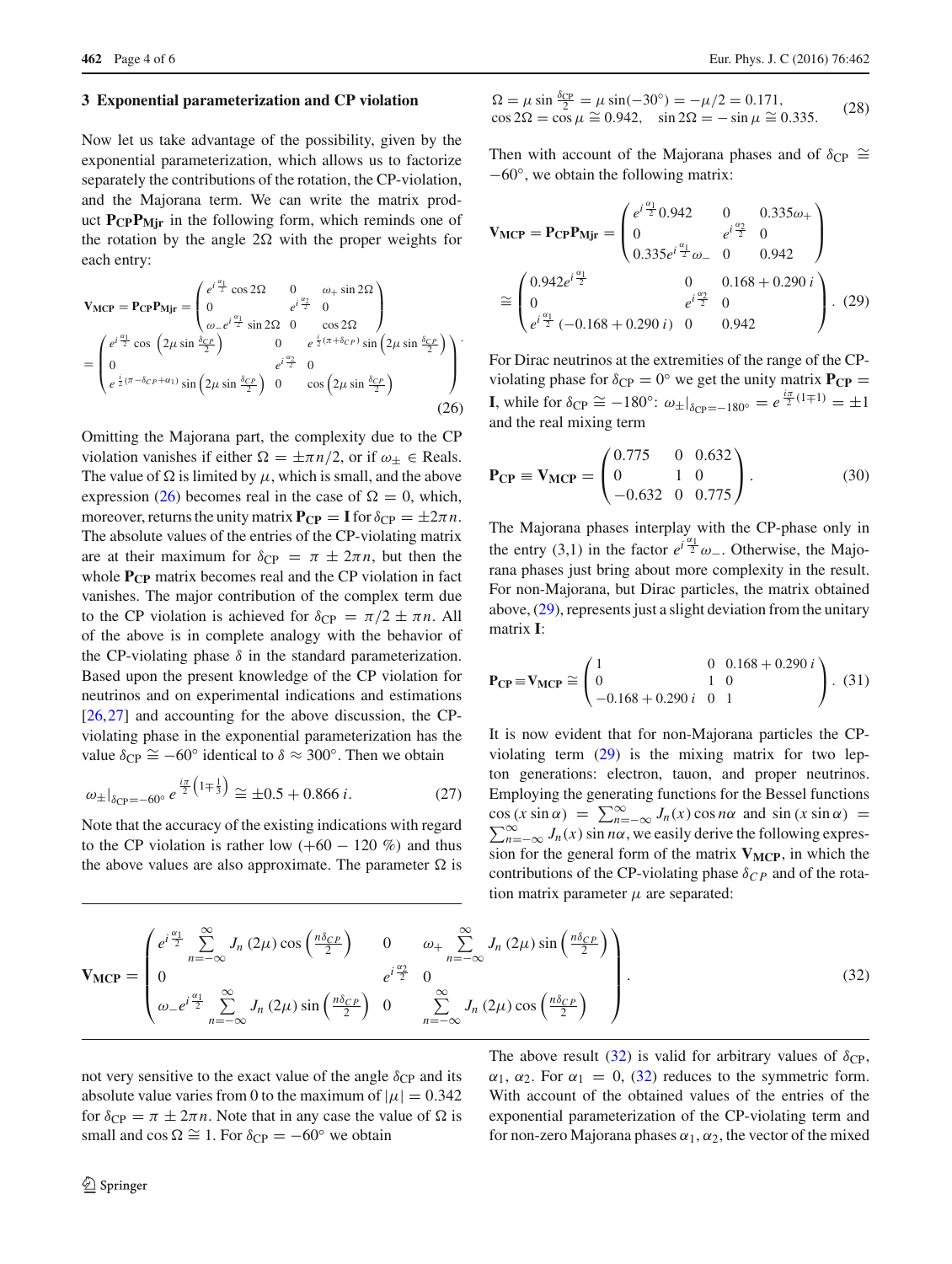#### **3 Exponential parameterization and CP violation**

Now let us take advantage of the possibility, given by the exponential parameterization, which allows us to factorize separately the contributions of the rotation, the CP-violation, and the Majorana term. We can write the matrix product **P<sub>CP</sub>P<sub>Mir</sub>** in the following form, which reminds one of the rotation by the angle  $2\Omega$  with the proper weights for each entry:

<span id="page-3-0"></span>
$$
\mathbf{V}_{\text{MCP}} = \mathbf{P}_{\text{CP}} \mathbf{P}_{\text{Mjr}} = \begin{pmatrix} e^{i\frac{\alpha_1}{2}} \cos 2\Omega & 0 & \omega_+ \sin 2\Omega \\ 0 & e^{i\frac{\alpha_2}{2}} & 0 \\ \omega_- e^{i\frac{\alpha_1}{2}} \sin 2\Omega & 0 & \cos 2\Omega \end{pmatrix}
$$

$$
= \begin{pmatrix} e^{i\frac{\alpha_1}{2}} \cos \left(2\mu \sin \frac{\delta_{CP}}{2}\right) & 0 & e^{\frac{i}{2}(\pi + \delta_{CP})} \sin \left(2\mu \sin \frac{\delta_{CP}}{2}\right) \\ 0 & e^{i\frac{\alpha_2}{2}} & 0 \\ e^{\frac{i}{2}(\pi - \delta_{CP} + \alpha_1)} \sin \left(2\mu \sin \frac{\delta_{CP}}{2}\right) & 0 & \cos \left(2\mu \sin \frac{\delta_{CP}}{2}\right) \end{pmatrix}.
$$
(26)

Omitting the Majorana part, the complexity due to the CP violation vanishes if either  $\Omega = \pm \pi n/2$ , or if  $\omega_+ \in$  Reals. The value of  $\Omega$  is limited by  $\mu$ , which is small, and the above expression [\(26\)](#page-3-0) becomes real in the case of  $\Omega = 0$ , which, moreover, returns the unity matrix  $P_{CP} = I$  for  $\delta_{CP} = \pm 2\pi n$ . The absolute values of the entries of the CP-violating matrix are at their maximum for  $\delta_{\text{CP}} = \pi \pm 2\pi n$ , but then the whole **P<sub>CP</sub>** matrix becomes real and the CP violation in fact vanishes. The major contribution of the complex term due to the CP violation is achieved for  $\delta_{\text{CP}} = \pi/2 \pm \pi n$ . All of the above is in complete analogy with the behavior of the CP-violating phase  $\delta$  in the standard parameterization. Based upon the present knowledge of the CP violation for neutrinos and on experimental indications and estimations [\[26](#page-5-9),[27\]](#page-5-10) and accounting for the above discussion, the CPviolating phase in the exponential parameterization has the value  $\delta_{\rm CP} \cong -60^{\circ}$  identical to  $\delta \approx 300^{\circ}$ . Then we obtain

$$
\omega_{\pm}|_{\delta_{\rm CP} = -60^\circ} e^{\frac{i\pi}{2} \left(1 \mp \frac{1}{3}\right)} \cong \pm 0.5 + 0.866 \ i. \tag{27}
$$

Note that the accuracy of the existing indications with regard to the CP violation is rather low  $(+60 - 120\%)$  and thus the above values are also approximate. The parameter  $\Omega$  is

$$
\Omega = \mu \sin \frac{\delta_{\rm CP}}{2} = \mu \sin(-30^{\circ}) = -\mu/2 = 0.171, \n\cos 2\Omega = \cos \mu \approx 0.942, \quad \sin 2\Omega = -\sin \mu \approx 0.335.
$$
\n(28)

Then with account of the Majorana phases and of  $\delta_{\text{CP}} \cong$ −60◦, we obtain the following matrix:

<span id="page-3-1"></span>
$$
\mathbf{V}_{\text{MCP}} = \mathbf{P}_{\text{CP}} \mathbf{P}_{\text{Mjr}} = \begin{pmatrix} e^{i\frac{\alpha_1}{2}} 0.942 & 0 & 0.335\omega_+ \\ 0 & e^{i\frac{\alpha_2}{2}} & 0 \\ 0.335 e^{i\frac{\alpha_1}{2}} \omega_- & 0 & 0.942 \end{pmatrix}
$$

$$
\approx \begin{pmatrix} 0.942 e^{i\frac{\alpha_1}{2}} & 0 & 0.168 + 0.290 i \\ 0 & e^{i\frac{\alpha_2}{2}} & 0 \\ e^{i\frac{\alpha_1}{2}} & (-0.168 + 0.290 i) & 0 & 0.942 \end{pmatrix} . (29)
$$

For Dirac neutrinos at the extremities of the range of the CPviolating phase for  $\delta_{\text{CP}} = 0^{\circ}$  we get the unity matrix  $P_{\text{CP}} =$ **I**, while for  $\delta_{\text{CP}} \cong -180^{\circ}$ :  $\omega_{\pm}|_{\delta_{\text{CP}}=-180^{\circ}} = e^{\frac{i\pi}{2}(1\mp 1)} = \pm 1$ and the real mixing term

$$
\mathbf{P_{CP}} \equiv \mathbf{V_{MCP}} = \begin{pmatrix} 0.775 & 0 & 0.632 \\ 0 & 1 & 0 \\ -0.632 & 0 & 0.775 \end{pmatrix} . \tag{30}
$$

The Majorana phases interplay with the CP-phase only in the entry (3,1) in the factor  $e^{i\frac{\alpha_1}{2}}\omega$ . Otherwise, the Majorana phases just bring about more complexity in the result. For non-Majorana, but Dirac particles, the matrix obtained above, [\(29\)](#page-3-1), represents just a slight deviation from the unitary matrix **I**:

<span id="page-3-3"></span>
$$
\mathbf{P_{CP}} \equiv \mathbf{V_{MCP}} \cong \begin{pmatrix} 1 & 0 & 0.168 + 0.290 i \\ 0 & 1 & 0 \\ -0.168 + 0.290 i & 0 & 1 \end{pmatrix} . (31)
$$

It is now evident that for non-Majorana particles the CPviolating term [\(29\)](#page-3-1) is the mixing matrix for two lepton generations: electron, tauon, and proper neutrinos. Employing the generating functions for the Bessel functions cos  $(x \sin \alpha) = \sum_{n=-\infty}^{\infty} J_n(x) \cos n\alpha$  and  $\sin (x \sin \alpha) = \sum_{n=-\infty}^{\infty} J_n(x) \sin n\alpha$ , we easily derive the following expres- $\sum_{n=-\infty}^{\infty} J_n(x)$  sin *n*α, we easily derive the following expression for the general form of the matrix  $V_{MCP}$ , in which the contributions of the CP-violating phase  $\delta_{CP}$  and of the rotation matrix parameter  $\mu$  are separated:

<span id="page-3-2"></span>
$$
\mathbf{V}_{\text{MCP}} = \begin{pmatrix} e^{i\frac{\alpha_1}{2}} \sum_{n=-\infty}^{\infty} J_n (2\mu) \cos\left(\frac{n\delta_{CP}}{2}\right) & 0 & \omega_+ \sum_{n=-\infty}^{\infty} J_n (2\mu) \sin\left(\frac{n\delta_{CP}}{2}\right) \\ 0 & e^{i\frac{\alpha_2}{2}} & 0 \\ \omega_- e^{i\frac{\alpha_1}{2}} \sum_{n=-\infty}^{\infty} J_n (2\mu) \sin\left(\frac{n\delta_{CP}}{2}\right) & 0 & \sum_{n=-\infty}^{\infty} J_n (2\mu) \cos\left(\frac{n\delta_{CP}}{2}\right) \end{pmatrix} .
$$
 (32)

not very sensitive to the exact value of the angle  $\delta_{CP}$  and its absolute value varies from 0 to the maximum of  $|\mu| = 0.342$ for  $\delta_{\rm CP} = \pi \pm 2\pi n$ . Note that in any case the value of  $\Omega$  is small and cos  $\Omega \cong 1$ . For  $\delta_{CP} = -60^{\circ}$  we obtain

The above result [\(32\)](#page-3-2) is valid for arbitrary values of  $\delta_{\rm CP}$ ,  $\alpha_1$ ,  $\alpha_2$ . For  $\alpha_1 = 0$ , [\(32\)](#page-3-2) reduces to the symmetric form. With account of the obtained values of the entries of the exponential parameterization of the CP-violating term and for non-zero Majorana phases  $\alpha_1, \alpha_2$ , the vector of the mixed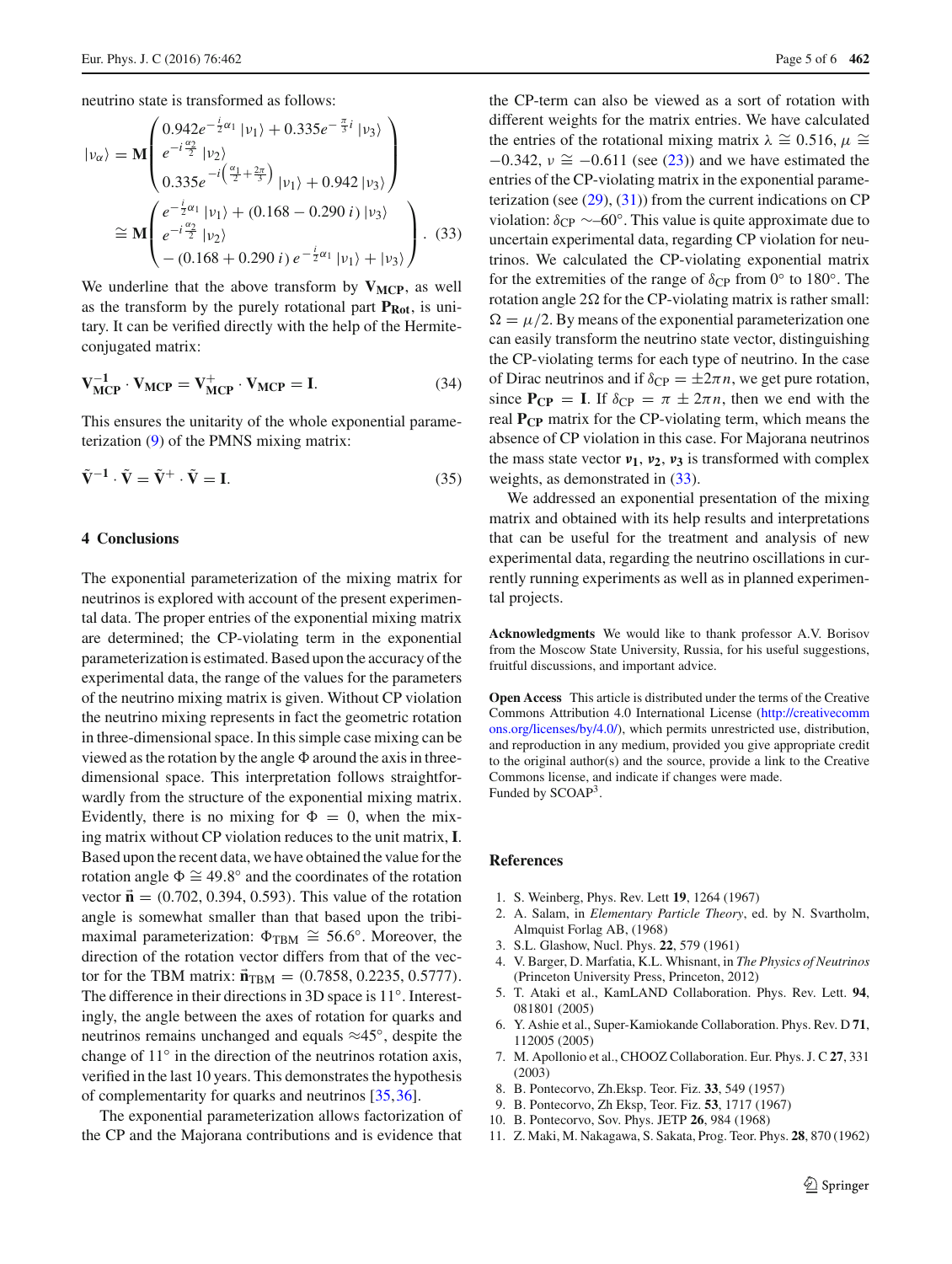neutrino state is transformed as follows:

<span id="page-4-9"></span>
$$
|v_{\alpha}\rangle = \mathbf{M} \begin{pmatrix} 0.942e^{-\frac{i}{2}\alpha_1} |v_1\rangle + 0.335e^{-\frac{\pi}{3}i} |v_3\rangle \\ e^{-i\frac{\alpha_2}{2}} |v_2\rangle \\ 0.335e^{-i(\frac{\alpha_1}{2} + \frac{2\pi}{3})} |v_1\rangle + 0.942 |v_3\rangle \\ e^{-i\frac{\alpha_2}{2}} |v_2\rangle \\ - (0.168 + 0.290 i) e^{-\frac{i}{2}\alpha_1} |v_1\rangle + |v_3\rangle \end{pmatrix} .
$$
 (33)

We underline that the above transform by  $V_{MCP}$ , as well as the transform by the purely rotational part  $P_{Rot}$ , is unitary. It can be verified directly with the help of the Hermiteconjugated matrix:

$$
\mathbf{V}_{\text{MCP}}^{-1} \cdot \mathbf{V}_{\text{MCP}} = \mathbf{V}_{\text{MCP}}^{+} \cdot \mathbf{V}_{\text{MCP}} = \mathbf{I}.\tag{34}
$$

This ensures the unitarity of the whole exponential parameterization [\(9\)](#page-1-2) of the PMNS mixing matrix:

$$
\tilde{\mathbf{V}}^{-1} \cdot \tilde{\mathbf{V}} = \tilde{\mathbf{V}}^{+} \cdot \tilde{\mathbf{V}} = \mathbf{I}.
$$
 (35)

#### **4 Conclusions**

The exponential parameterization of the mixing matrix for neutrinos is explored with account of the present experimental data. The proper entries of the exponential mixing matrix are determined; the CP-violating term in the exponential parameterization is estimated. Based upon the accuracy of the experimental data, the range of the values for the parameters of the neutrino mixing matrix is given. Without CP violation the neutrino mixing represents in fact the geometric rotation in three-dimensional space. In this simple case mixing can be viewed as the rotation by the angle  $\Phi$  around the axis in threedimensional space. This interpretation follows straightforwardly from the structure of the exponential mixing matrix. Evidently, there is no mixing for  $\Phi = 0$ , when the mixing matrix without CP violation reduces to the unit matrix, **I**. Based upon the recent data, we have obtained the value for the rotation angle  $\Phi \cong 49.8^\circ$  and the coordinates of the rotation vector  $\vec{\bf n} = (0.702, 0.394, 0.593)$ . This value of the rotation angle is somewhat smaller than that based upon the tribimaximal parameterization:  $\Phi_{\text{TBM}} \cong 56.6°$ . Moreover, the direction of the rotation vector differs from that of the vector for the TBM matrix:  $\vec{n}_{\text{TBM}} = (0.7858, 0.2235, 0.5777)$ . The difference in their directions in 3D space is 11◦. Interestingly, the angle between the axes of rotation for quarks and neutrinos remains unchanged and equals ≈45◦, despite the change of 11◦ in the direction of the neutrinos rotation axis, verified in the last 10 years. This demonstrates the hypothesis of complementarity for quarks and neutrinos [\[35,](#page-5-18)[36\]](#page-5-19).

The exponential parameterization allows factorization of the CP and the Majorana contributions and is evidence that the CP-term can also be viewed as a sort of rotation with different weights for the matrix entries. We have calculated the entries of the rotational mixing matrix  $\lambda \approx 0.516$ ,  $\mu \approx$  $-0.342$ ,  $\nu \approx -0.611$  (see [\(23\)](#page-2-5)) and we have estimated the entries of the CP-violating matrix in the exponential parameterization (see  $(29)$ ,  $(31)$ ) from the current indications on CP violation:  $\delta_{\rm CP} \sim 60^\circ$ . This value is quite approximate due to uncertain experimental data, regarding CP violation for neutrinos. We calculated the CP-violating exponential matrix for the extremities of the range of  $\delta_{\rm CP}$  from 0° to 180°. The rotation angle  $2\Omega$  for the CP-violating matrix is rather small:  $\Omega = \mu/2$ . By means of the exponential parameterization one can easily transform the neutrino state vector, distinguishing the CP-violating terms for each type of neutrino. In the case of Dirac neutrinos and if  $\delta_{\text{CP}} = \pm 2\pi n$ , we get pure rotation, since  $P_{CP} = I$ . If  $\delta_{CP} = \pi \pm 2\pi n$ , then we end with the real **PCP** matrix for the CP-violating term, which means the absence of CP violation in this case. For Majorana neutrinos the mass state vector  $v_1$ ,  $v_2$ ,  $v_3$  is transformed with complex weights, as demonstrated in  $(33)$ .

We addressed an exponential presentation of the mixing matrix and obtained with its help results and interpretations that can be useful for the treatment and analysis of new experimental data, regarding the neutrino oscillations in currently running experiments as well as in planned experimental projects.

**Acknowledgments** We would like to thank professor A.V. Borisov from the Moscow State University, Russia, for his useful suggestions, fruitful discussions, and important advice.

**Open Access** This article is distributed under the terms of the Creative Commons Attribution 4.0 International License [\(http://creativecomm](http://creativecommons.org/licenses/by/4.0/) [ons.org/licenses/by/4.0/\)](http://creativecommons.org/licenses/by/4.0/), which permits unrestricted use, distribution, and reproduction in any medium, provided you give appropriate credit to the original author(s) and the source, provide a link to the Creative Commons license, and indicate if changes were made. Funded by SCOAP<sup>3</sup>.

### **References**

- <span id="page-4-0"></span>1. S. Weinberg, Phys. Rev. Lett **19**, 1264 (1967)
- 2. A. Salam, in *Elementary Particle Theory*, ed. by N. Svartholm, Almquist Forlag AB, (1968)
- <span id="page-4-1"></span>3. S.L. Glashow, Nucl. Phys. **22**, 579 (1961)
- <span id="page-4-2"></span>4. V. Barger, D. Marfatia, K.L. Whisnant, in *The Physics of Neutrinos* (Princeton University Press, Princeton, 2012)
- <span id="page-4-3"></span>5. T. Ataki et al., KamLAND Collaboration. Phys. Rev. Lett. **94**, 081801 (2005)
- <span id="page-4-4"></span>6. Y. Ashie et al., Super-Kamiokande Collaboration. Phys. Rev. D **71**, 112005 (2005)
- <span id="page-4-5"></span>7. M. Apollonio et al., CHOOZ Collaboration. Eur. Phys. J. C **27**, 331 (2003)
- <span id="page-4-6"></span>8. B. Pontecorvo, Zh.Eksp. Teor. Fiz. **33**, 549 (1957)
- 9. B. Pontecorvo, Zh Eksp, Teor. Fiz. **53**, 1717 (1967)
- <span id="page-4-7"></span>10. B. Pontecorvo, Sov. Phys. JETP **26**, 984 (1968)
- <span id="page-4-8"></span>11. Z. Maki, M. Nakagawa, S. Sakata, Prog. Teor. Phys. **28**, 870 (1962)